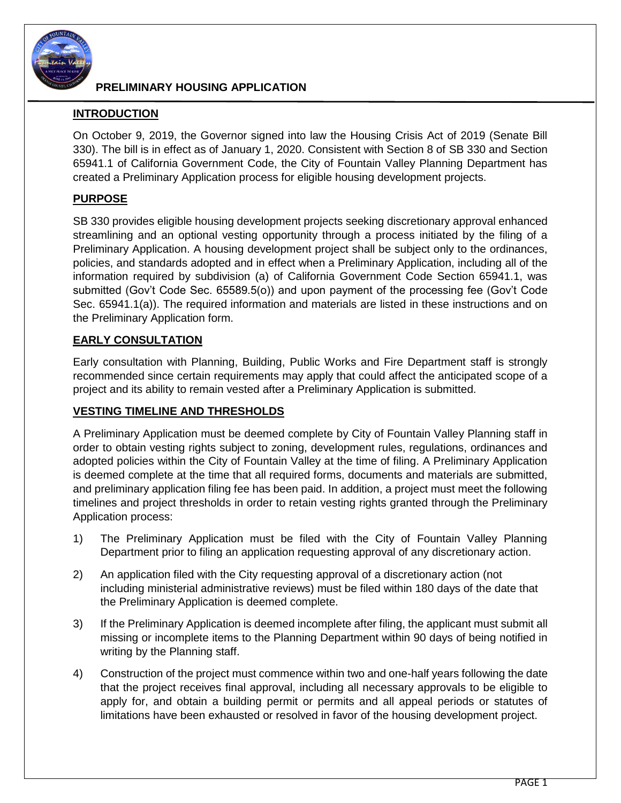

# **INTRODUCTION**

On October 9, 2019, the Governor signed into law the Housing Crisis Act of 2019 (Senate Bill 330). The bill is in effect as of January 1, 2020. Consistent with Section 8 of SB 330 and Section 65941.1 of California Government Code, the City of Fountain Valley Planning Department has created a Preliminary Application process for eligible housing development projects.

### **PURPOSE**

SB 330 provides eligible housing development projects seeking discretionary approval enhanced streamlining and an optional vesting opportunity through a process initiated by the filing of a Preliminary Application. A housing development project shall be subject only to the ordinances, policies, and standards adopted and in effect when a Preliminary Application, including all of the information required by subdivision (a) of California Government Code Section 65941.1, was submitted (Gov't Code Sec. 65589.5(o)) and upon payment of the processing fee (Gov't Code Sec. 65941.1(a)). The required information and materials are listed in these instructions and on the Preliminary Application form.

## **EARLY CONSULTATION**

Early consultation with Planning, Building, Public Works and Fire Department staff is strongly recommended since certain requirements may apply that could affect the anticipated scope of a project and its ability to remain vested after a Preliminary Application is submitted.

#### **VESTING TIMELINE AND THRESHOLDS**

A Preliminary Application must be deemed complete by City of Fountain Valley Planning staff in order to obtain vesting rights subject to zoning, development rules, regulations, ordinances and adopted policies within the City of Fountain Valley at the time of filing. A Preliminary Application is deemed complete at the time that all required forms, documents and materials are submitted, and preliminary application filing fee has been paid. In addition, a project must meet the following timelines and project thresholds in order to retain vesting rights granted through the Preliminary Application process:

- 1) The Preliminary Application must be filed with the City of Fountain Valley Planning Department prior to filing an application requesting approval of any discretionary action.
- 2) An application filed with the City requesting approval of a discretionary action (not including ministerial administrative reviews) must be filed within 180 days of the date that the Preliminary Application is deemed complete.
- 3) If the Preliminary Application is deemed incomplete after filing, the applicant must submit all missing or incomplete items to the Planning Department within 90 days of being notified in writing by the Planning staff.
- 4) Construction of the project must commence within two and one-half years following the date that the project receives final approval, including all necessary approvals to be eligible to apply for, and obtain a building permit or permits and all appeal periods or statutes of limitations have been exhausted or resolved in favor of the housing development project.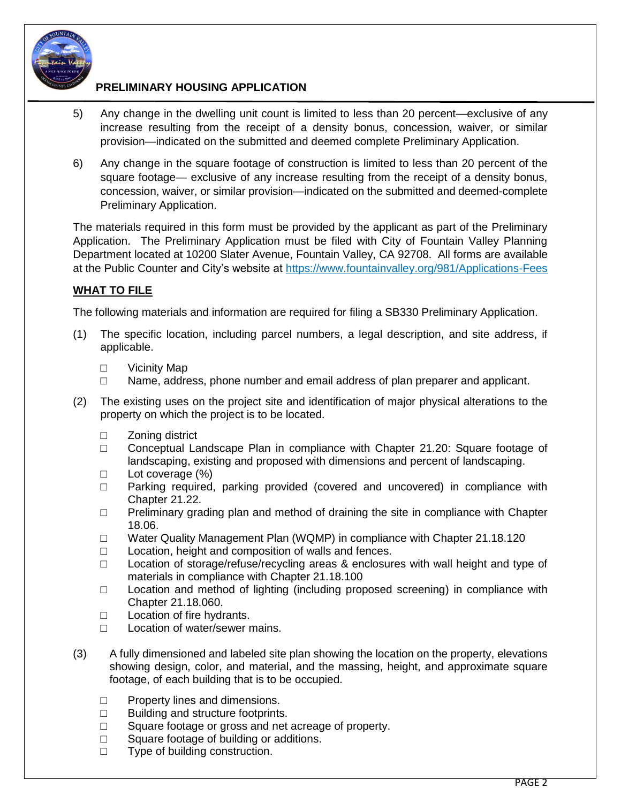

- 5) Any change in the dwelling unit count is limited to less than 20 percent—exclusive of any increase resulting from the receipt of a density bonus, concession, waiver, or similar provision—indicated on the submitted and deemed complete Preliminary Application.
- 6) Any change in the square footage of construction is limited to less than 20 percent of the square footage— exclusive of any increase resulting from the receipt of a density bonus, concession, waiver, or similar provision—indicated on the submitted and deemed-complete Preliminary Application.

The materials required in this form must be provided by the applicant as part of the Preliminary Application. The Preliminary Application must be filed with City of Fountain Valley Planning Department located at 10200 Slater Avenue, Fountain Valley, CA 92708. All forms are available at the Public Counter and City's website at<https://www.fountainvalley.org/981/Applications-Fees>

#### **WHAT TO FILE**

The following materials and information are required for filing a SB330 Preliminary Application.

- (1) The specific location, including parcel numbers, a legal description, and site address, if applicable.
	- □ Vicinity Map
	- $\Box$  Name, address, phone number and email address of plan preparer and applicant.
- (2) The existing uses on the project site and identification of major physical alterations to the property on which the project is to be located.
	- □ Zoning district
	- □ Conceptual Landscape Plan in compliance with Chapter 21.20: Square footage of landscaping, existing and proposed with dimensions and percent of landscaping.
	- □ Lot coverage (%)
	- $\Box$  Parking required, parking provided (covered and uncovered) in compliance with Chapter 21.22.
	- □ Preliminary grading plan and method of draining the site in compliance with Chapter 18.06.
	- □ Water Quality Management Plan (WQMP) in compliance with Chapter 21.18.120
	- □ Location, height and composition of walls and fences.
	- □ Location of storage/refuse/recycling areas & enclosures with wall height and type of materials in compliance with Chapter 21.18.100
	- $\Box$  Location and method of lighting (including proposed screening) in compliance with Chapter 21.18.060.
	- □ Location of fire hydrants.
	- □ Location of water/sewer mains.
- (3) A fully dimensioned and labeled site plan showing the location on the property, elevations showing design, color, and material, and the massing, height, and approximate square footage, of each building that is to be occupied.
	- □ Property lines and dimensions.
	- □ Building and structure footprints.
	- □ Square footage or gross and net acreage of property.
	- □ Square footage of building or additions.
	- □ Type of building construction.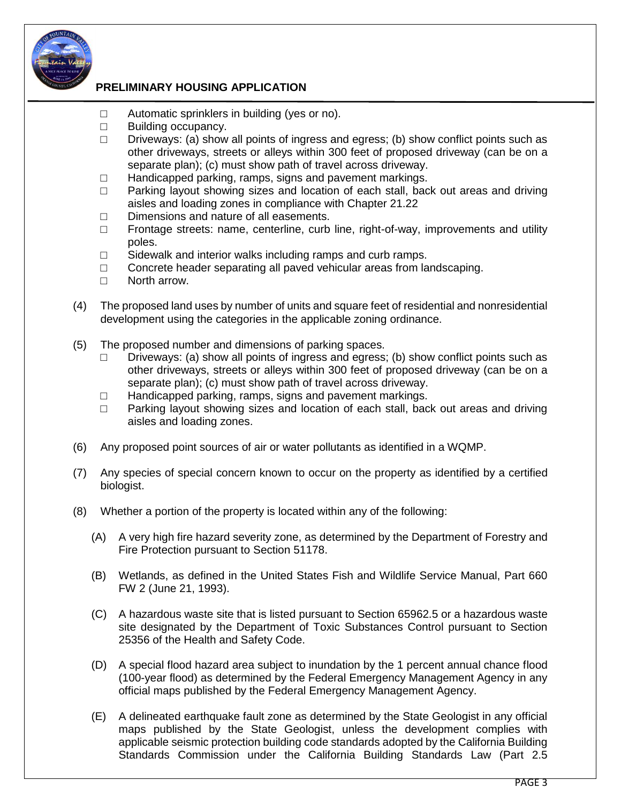

- $\Box$  Automatic sprinklers in building (yes or no).
- □ Building occupancy.
- $\Box$  Driveways: (a) show all points of ingress and egress; (b) show conflict points such as other driveways, streets or alleys within 300 feet of proposed driveway (can be on a separate plan); (c) must show path of travel across driveway.
- □ Handicapped parking, ramps, signs and pavement markings.
- □ Parking layout showing sizes and location of each stall, back out areas and driving aisles and loading zones in compliance with Chapter 21.22
- □ Dimensions and nature of all easements.
- □ Frontage streets: name, centerline, curb line, right-of-way, improvements and utility poles.
- □ Sidewalk and interior walks including ramps and curb ramps.
- □ Concrete header separating all paved vehicular areas from landscaping.
- □ North arrow.
- (4) The proposed land uses by number of units and square feet of residential and nonresidential development using the categories in the applicable zoning ordinance.
- (5) The proposed number and dimensions of parking spaces.
	- □ Driveways: (a) show all points of ingress and egress; (b) show conflict points such as other driveways, streets or alleys within 300 feet of proposed driveway (can be on a separate plan); (c) must show path of travel across driveway.
	- □ Handicapped parking, ramps, signs and pavement markings.
	- $\Box$  Parking layout showing sizes and location of each stall, back out areas and driving aisles and loading zones.
- (6) Any proposed point sources of air or water pollutants as identified in a WQMP.
- (7) Any species of special concern known to occur on the property as identified by a certified biologist.
- (8) Whether a portion of the property is located within any of the following:
	- (A) A very high fire hazard severity zone, as determined by the Department of Forestry and Fire Protection pursuant to Section 51178.
	- (B) Wetlands, as defined in the United States Fish and Wildlife Service Manual, Part 660 FW 2 (June 21, 1993).
	- (C) A hazardous waste site that is listed pursuant to Section 65962.5 or a hazardous waste site designated by the Department of Toxic Substances Control pursuant to Section 25356 of the Health and Safety Code.
	- (D) A special flood hazard area subject to inundation by the 1 percent annual chance flood (100-year flood) as determined by the Federal Emergency Management Agency in any official maps published by the Federal Emergency Management Agency.
	- (E) A delineated earthquake fault zone as determined by the State Geologist in any official maps published by the State Geologist, unless the development complies with applicable seismic protection building code standards adopted by the California Building Standards Commission under the California Building Standards Law (Part 2.5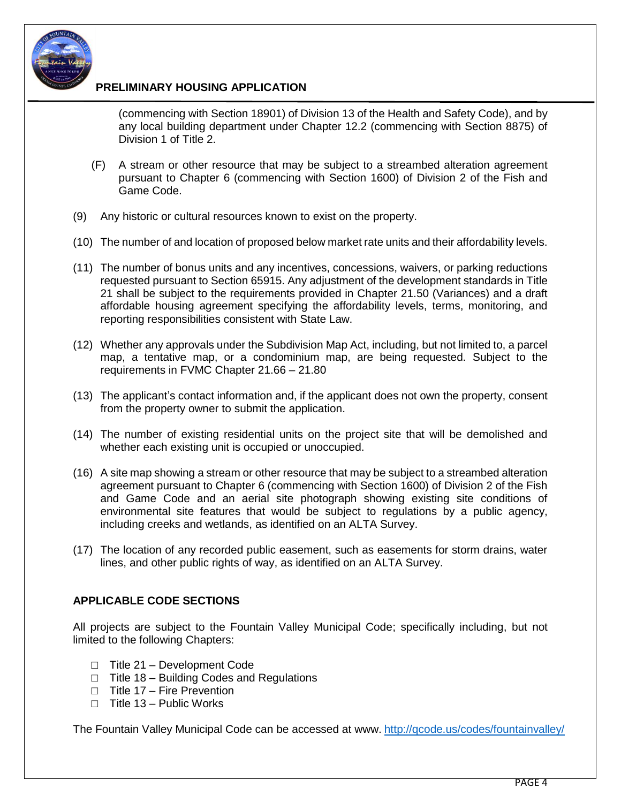

(commencing with Section 18901) of Division 13 of the Health and Safety Code), and by any local building department under Chapter 12.2 (commencing with Section 8875) of Division 1 of Title 2.

- (F) A stream or other resource that may be subject to a streambed alteration agreement pursuant to Chapter 6 (commencing with Section 1600) of Division 2 of the Fish and Game Code.
- (9) Any historic or cultural resources known to exist on the property.
- (10) The number of and location of proposed below market rate units and their affordability levels.
- (11) The number of bonus units and any incentives, concessions, waivers, or parking reductions requested pursuant to Section 65915. Any adjustment of the development standards in Title 21 shall be subject to the requirements provided in Chapter 21.50 (Variances) and a draft affordable housing agreement specifying the affordability levels, terms, monitoring, and reporting responsibilities consistent with State Law.
- (12) Whether any approvals under the Subdivision Map Act, including, but not limited to, a parcel map, a tentative map, or a condominium map, are being requested. Subject to the requirements in FVMC Chapter 21.66 – 21.80
- (13) The applicant's contact information and, if the applicant does not own the property, consent from the property owner to submit the application.
- (14) The number of existing residential units on the project site that will be demolished and whether each existing unit is occupied or unoccupied.
- (16) A site map showing a stream or other resource that may be subject to a streambed alteration agreement pursuant to Chapter 6 (commencing with Section 1600) of Division 2 of the Fish and Game Code and an aerial site photograph showing existing site conditions of environmental site features that would be subject to regulations by a public agency, including creeks and wetlands, as identified on an ALTA Survey.
- (17) The location of any recorded public easement, such as easements for storm drains, water lines, and other public rights of way, as identified on an ALTA Survey.

#### **APPLICABLE CODE SECTIONS**

All projects are subject to the Fountain Valley Municipal Code; specifically including, but not limited to the following Chapters:

- □ Title 21 Development Code
- $\Box$  Title 18 Building Codes and Regulations
- □ Title 17 Fire Prevention
- $\Box$  Title 13 Public Works

The Fountain Valley Municipal Code can be accessed at www. http://gcode.us/codes/fountainvalley/